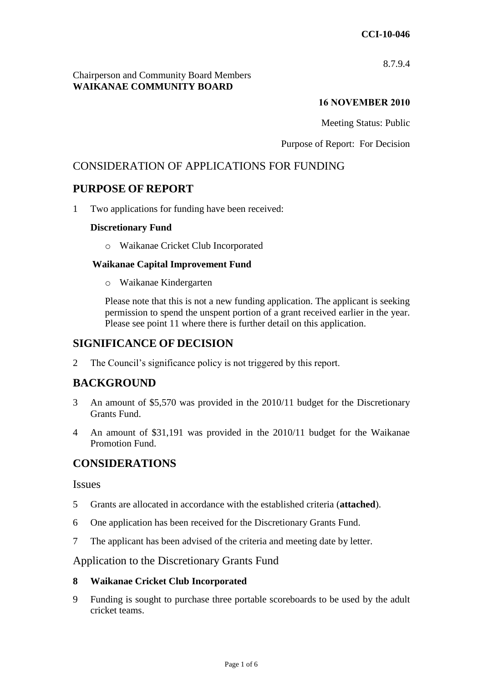8.7.9.4

### Chairperson and Community Board Members **WAIKANAE COMMUNITY BOARD**

## **16 NOVEMBER 2010**

Meeting Status: Public

Purpose of Report: For Decision

# CONSIDERATION OF APPLICATIONS FOR FUNDING

# **PURPOSE OF REPORT**

1 Two applications for funding have been received:

#### **Discretionary Fund**

o Waikanae Cricket Club Incorporated

## **Waikanae Capital Improvement Fund**

o Waikanae Kindergarten

Please note that this is not a new funding application. The applicant is seeking permission to spend the unspent portion of a grant received earlier in the year. Please see point 11 where there is further detail on this application.

# **SIGNIFICANCE OF DECISION**

2 The Council's significance policy is not triggered by this report.

# **BACKGROUND**

- 3 An amount of \$5,570 was provided in the 2010/11 budget for the Discretionary Grants Fund.
- 4 An amount of \$31,191 was provided in the 2010/11 budget for the Waikanae Promotion Fund.

# **CONSIDERATIONS**

Issues

- 5 Grants are allocated in accordance with the established criteria (**attached**).
- 6 One application has been received for the Discretionary Grants Fund.
- 7 The applicant has been advised of the criteria and meeting date by letter.

Application to the Discretionary Grants Fund

#### **8 Waikanae Cricket Club Incorporated**

9 Funding is sought to purchase three portable scoreboards to be used by the adult cricket teams.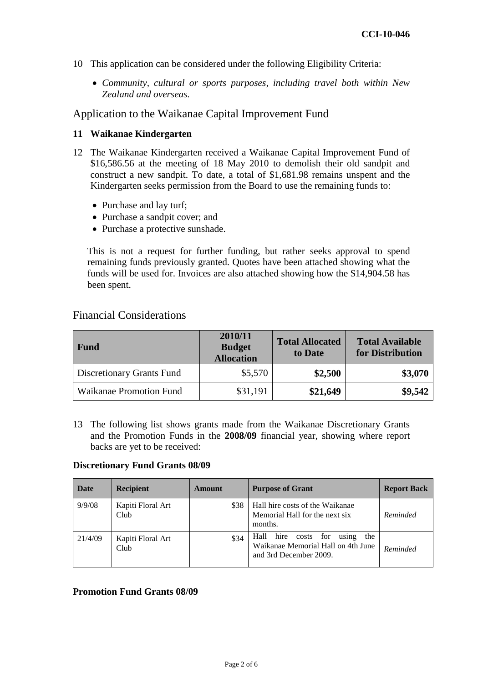- 10 This application can be considered under the following Eligibility Criteria:
	- *Community, cultural or sports purposes, including travel both within New Zealand and overseas.*

## Application to the Waikanae Capital Improvement Fund

## **11 Waikanae Kindergarten**

- 12 The Waikanae Kindergarten received a Waikanae Capital Improvement Fund of \$16,586.56 at the meeting of 18 May 2010 to demolish their old sandpit and construct a new sandpit. To date, a total of \$1,681.98 remains unspent and the Kindergarten seeks permission from the Board to use the remaining funds to:
	- Purchase and lay turf;
	- Purchase a sandpit cover; and
	- Purchase a protective sunshade.

This is not a request for further funding, but rather seeks approval to spend remaining funds previously granted. Quotes have been attached showing what the funds will be used for. Invoices are also attached showing how the \$14,904.58 has been spent.

# Financial Considerations

| <b>Fund</b>                      | 2010/11<br><b>Budget</b><br><b>Allocation</b> | <b>Total Allocated</b><br>to Date | <b>Total Available</b><br>for Distribution |
|----------------------------------|-----------------------------------------------|-----------------------------------|--------------------------------------------|
| <b>Discretionary Grants Fund</b> | \$5,570                                       | \$2,500                           | \$3,070                                    |
| <b>Waikanae Promotion Fund</b>   | \$31,191                                      | \$21,649                          | \$9,542                                    |

13 The following list shows grants made from the Waikanae Discretionary Grants and the Promotion Funds in the **2008/09** financial year, showing where report backs are yet to be received:

#### **Discretionary Fund Grants 08/09**

| Date    | <b>Recipient</b>          | Amount | <b>Purpose of Grant</b>                                                                             | <b>Report Back</b> |
|---------|---------------------------|--------|-----------------------------------------------------------------------------------------------------|--------------------|
| 9/9/08  | Kapiti Floral Art<br>Club | \$38   | Hall hire costs of the Waikanae<br>Memorial Hall for the next six<br>months.                        | Reminded           |
| 21/4/09 | Kapiti Floral Art<br>Club | \$34   | Hall hire costs for<br>the<br>using<br>Waikanae Memorial Hall on 4th June<br>and 3rd December 2009. | Reminded           |

## **Promotion Fund Grants 08/09**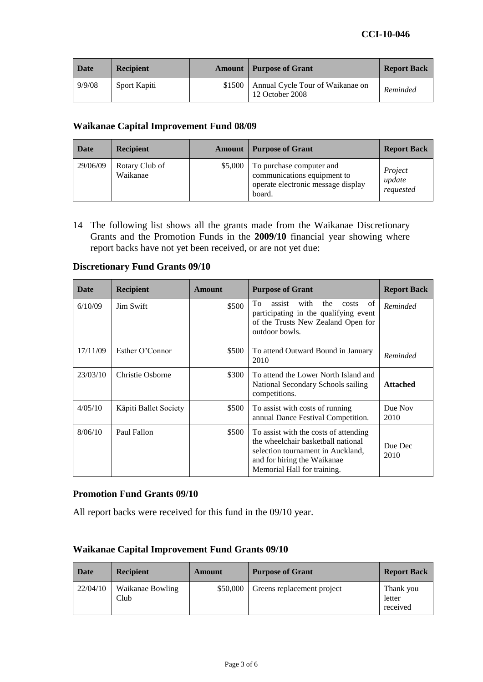### **CCI-10-046**

| Date   | <b>Recipient</b> |        | <b>Amount   Purpose of Grant</b>                    | <b>Report Back</b> |
|--------|------------------|--------|-----------------------------------------------------|--------------------|
| 9/9/08 | Sport Kapiti     | \$1500 | Annual Cycle Tour of Waikanae on<br>12 October 2008 | Reminded           |

## **Waikanae Capital Improvement Fund 08/09**

| Date     | <b>Recipient</b>           | <b>Amount</b> | <b>Purpose of Grant</b>                                                                                 | <b>Report Back</b>             |
|----------|----------------------------|---------------|---------------------------------------------------------------------------------------------------------|--------------------------------|
| 29/06/09 | Rotary Club of<br>Waikanae | \$5,000       | To purchase computer and<br>communications equipment to<br>operate electronic message display<br>board. | Project<br>update<br>requested |

14 The following list shows all the grants made from the Waikanae Discretionary Grants and the Promotion Funds in the **2009/10** financial year showing where report backs have not yet been received, or are not yet due:

| Date     | <b>Recipient</b>      | Amount | <b>Purpose of Grant</b>                                                                                                                                                        | <b>Report Back</b> |
|----------|-----------------------|--------|--------------------------------------------------------------------------------------------------------------------------------------------------------------------------------|--------------------|
| 6/10/09  | Jim Swift             | \$500  | To<br>with<br>the<br>of<br>assist<br>costs<br>participating in the qualifying event<br>of the Trusts New Zealand Open for<br>outdoor bowls.                                    | Reminded           |
| 17/11/09 | Esther O'Connor       | \$500  | To attend Outward Bound in January<br>2010                                                                                                                                     | Reminded           |
| 23/03/10 | Christie Osborne      | \$300  | To attend the Lower North Island and<br>National Secondary Schools sailing<br>competitions.                                                                                    | <b>Attached</b>    |
| 4/05/10  | Kāpiti Ballet Society | \$500  | To assist with costs of running<br>annual Dance Festival Competition.                                                                                                          | Due Nov<br>2010    |
| 8/06/10  | Paul Fallon           | \$500  | To assist with the costs of attending<br>the wheelchair basketball national<br>selection tournament in Auckland,<br>and for hiring the Waikanae<br>Memorial Hall for training. | Due Dec<br>2010    |

#### **Discretionary Fund Grants 09/10**

#### **Promotion Fund Grants 09/10**

All report backs were received for this fund in the 09/10 year.

#### **Waikanae Capital Improvement Fund Grants 09/10**

| Date     | <b>Recipient</b>         | Amount   | <b>Purpose of Grant</b>    | <b>Report Back</b>              |
|----------|--------------------------|----------|----------------------------|---------------------------------|
| 22/04/10 | Waikanae Bowling<br>Club | \$50,000 | Greens replacement project | Thank you<br>letter<br>received |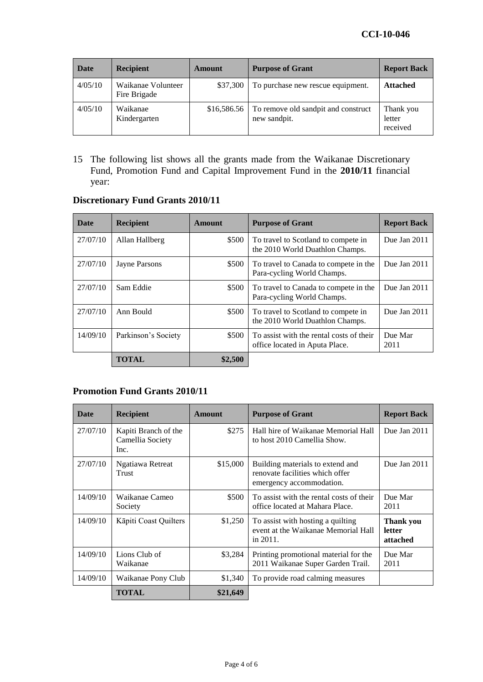| Date    | <b>Recipient</b>                   | <b>Amount</b> | <b>Purpose of Grant</b>                             | <b>Report Back</b>              |
|---------|------------------------------------|---------------|-----------------------------------------------------|---------------------------------|
| 4/05/10 | Waikanae Volunteer<br>Fire Brigade | \$37,300      | To purchase new rescue equipment.                   | <b>Attached</b>                 |
| 4/05/10 | Waikanae<br>Kindergarten           | \$16,586.56   | To remove old sandpit and construct<br>new sandpit. | Thank you<br>letter<br>received |

15 The following list shows all the grants made from the Waikanae Discretionary Fund, Promotion Fund and Capital Improvement Fund in the **2010/11** financial year:

## **Discretionary Fund Grants 2010/11**

| <b>Date</b> | <b>Recipient</b>     | Amount  | <b>Purpose of Grant</b>                                                    | <b>Report Back</b> |
|-------------|----------------------|---------|----------------------------------------------------------------------------|--------------------|
| 27/07/10    | Allan Hallberg       | \$500   | To travel to Scotland to compete in<br>the 2010 World Duathlon Champs.     | Due Jan 2011       |
| 27/07/10    | <b>Jayne Parsons</b> | \$500   | To travel to Canada to compete in the<br>Para-cycling World Champs.        | Due Jan 2011       |
| 27/07/10    | Sam Eddie            | \$500   | To travel to Canada to compete in the<br>Para-cycling World Champs.        | Due Jan 2011       |
| 27/07/10    | Ann Bould            | \$500   | To travel to Scotland to compete in<br>the 2010 World Duathlon Champs.     | Due Jan 2011       |
| 14/09/10    | Parkinson's Society  | \$500   | To assist with the rental costs of their<br>office located in Aputa Place. | Due Mar<br>2011    |
|             | <b>TOTAL</b>         | \$2,500 |                                                                            |                    |

## **Promotion Fund Grants 2010/11**

| <b>Date</b> | <b>Recipient</b>                                 | Amount   | <b>Purpose of Grant</b>                                                                         | <b>Report Back</b>                     |
|-------------|--------------------------------------------------|----------|-------------------------------------------------------------------------------------------------|----------------------------------------|
| 27/07/10    | Kapiti Branch of the<br>Camellia Society<br>Inc. | \$275    | Hall hire of Waikanae Memorial Hall<br>to host 2010 Camellia Show.                              | Due Jan 2011                           |
| 27/07/10    | Ngatiawa Retreat<br>Trust                        | \$15,000 | Building materials to extend and<br>renovate facilities which offer<br>emergency accommodation. | Due Jan 2011                           |
| 14/09/10    | Waikanae Cameo<br>Society                        | \$500    | To assist with the rental costs of their<br>office located at Mahara Place.                     | Due Mar<br>2011                        |
| 14/09/10    | Kāpiti Coast Quilters                            | \$1,250  | To assist with hosting a quilting<br>event at the Waikanae Memorial Hall<br>in 2011.            | Thank you<br><b>letter</b><br>attached |
| 14/09/10    | Lions Club of<br>Waikanae                        | \$3,284  | Printing promotional material for the<br>2011 Waikanae Super Garden Trail.                      | Due Mar<br>2011                        |
| 14/09/10    | Waikanae Pony Club                               | \$1,340  | To provide road calming measures                                                                |                                        |
|             | <b>TOTAL</b>                                     | \$21,649 |                                                                                                 |                                        |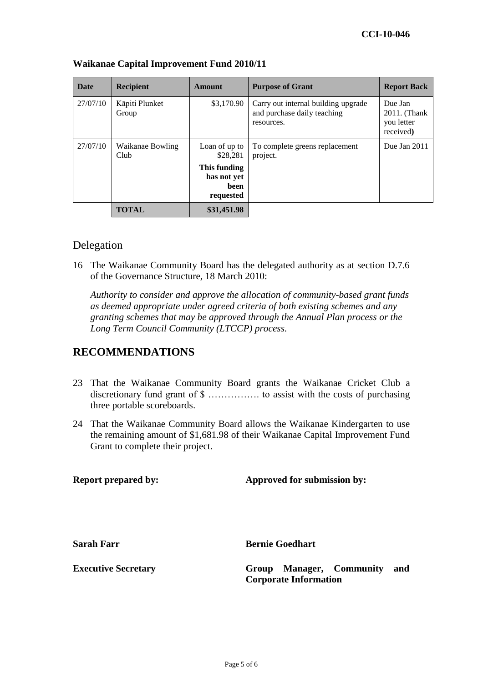| <b>Date</b> | <b>Recipient</b>         | Amount                                           | <b>Purpose of Grant</b>                                                          | <b>Report Back</b>                                  |
|-------------|--------------------------|--------------------------------------------------|----------------------------------------------------------------------------------|-----------------------------------------------------|
| 27/07/10    | Kāpiti Plunket<br>Group  | \$3,170.90                                       | Carry out internal building upgrade<br>and purchase daily teaching<br>resources. | Due Jan<br>2011. (Thank)<br>you letter<br>received) |
| 27/07/10    | Waikanae Bowling<br>Club | Loan of up to<br>\$28,281                        | To complete greens replacement<br>project.                                       | Due Jan 2011                                        |
|             |                          | This funding<br>has not yet<br>been<br>requested |                                                                                  |                                                     |
|             | <b>TOTAL</b>             | \$31,451.98                                      |                                                                                  |                                                     |

#### **Waikanae Capital Improvement Fund 2010/11**

### Delegation

16 The Waikanae Community Board has the delegated authority as at section D.7.6 of the Governance Structure, 18 March 2010:

*Authority to consider and approve the allocation of community-based grant funds as deemed appropriate under agreed criteria of both existing schemes and any granting schemes that may be approved through the Annual Plan process or the Long Term Council Community (LTCCP) process.*

# **RECOMMENDATIONS**

- 23 That the Waikanae Community Board grants the Waikanae Cricket Club a discretionary fund grant of \$ ……………. to assist with the costs of purchasing three portable scoreboards.
- 24 That the Waikanae Community Board allows the Waikanae Kindergarten to use the remaining amount of \$1,681.98 of their Waikanae Capital Improvement Fund Grant to complete their project.

**Report prepared by: Approved for submission by:**

**Sarah Farr Bernie Goedhart** 

**Executive Secretary Group Manager, Community and Corporate Information**